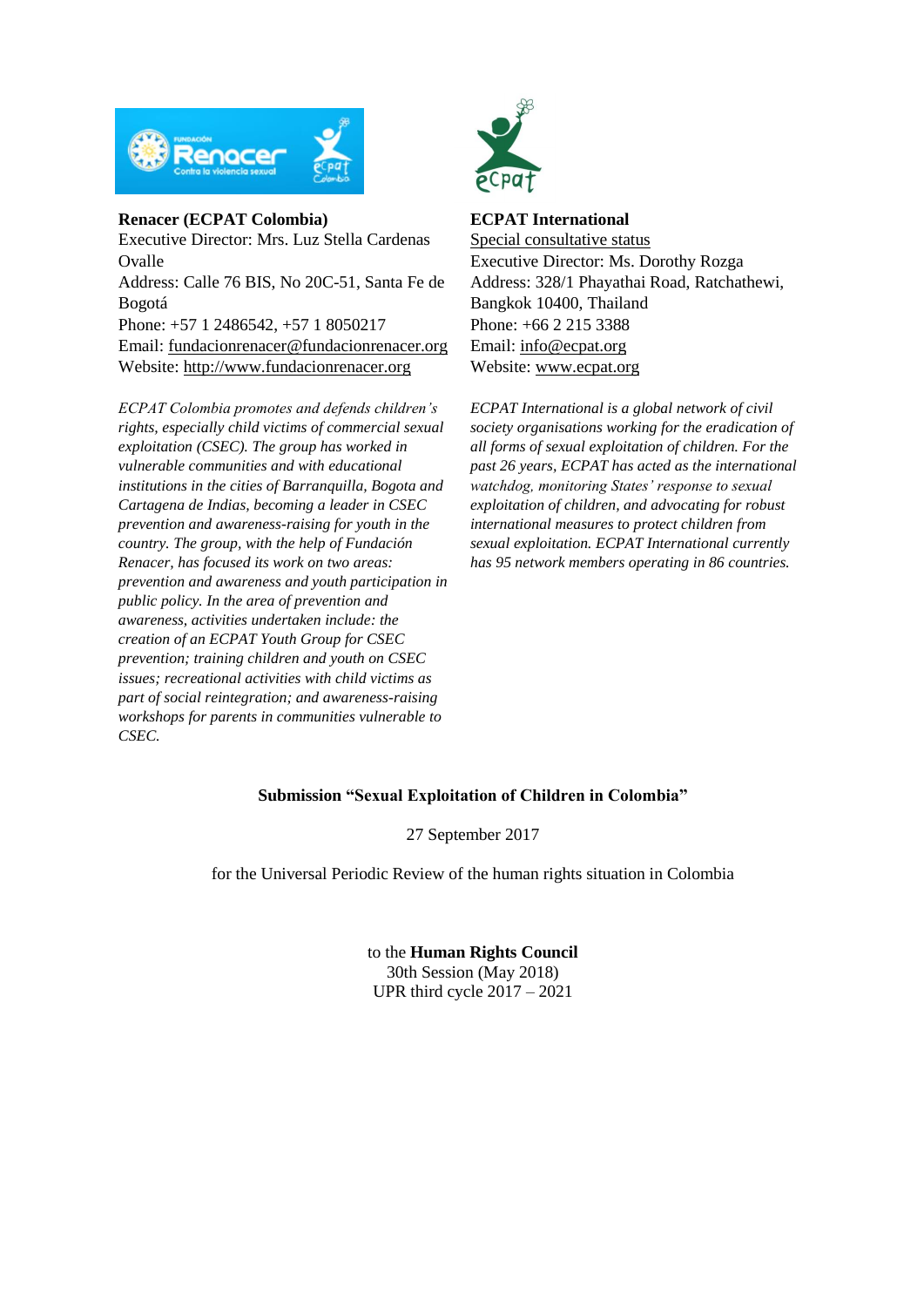

## **Renacer (ECPAT Colombia)**

Executive Director: Mrs. Luz Stella Cardenas Ovalle Address: Calle 76 BIS, No 20C-51, Santa Fe de Bogotá Phone: +57 1 2486542, +57 1 8050217 Email: [fundacionrenacer@fundacionrenacer.org](mailto:fundacionrenacer@fundacionrenacer.org) Website: [http://www.fundacionrenacer.org](http://www.fundacionrenacer.org/)

*ECPAT Colombia promotes and defends children's rights, especially child victims of commercial sexual exploitation (CSEC). The group has worked in vulnerable communities and with educational institutions in the cities of Barranquilla, Bogota and Cartagena de Indias, becoming a leader in CSEC prevention and awareness-raising for youth in the country. The group, with the help of Fundación Renacer, has focused its work on two areas: prevention and awareness and youth participation in public policy. In the area of prevention and awareness, activities undertaken include: the creation of an ECPAT Youth Group for CSEC prevention; training children and youth on CSEC issues; recreational activities with child victims as part of social reintegration; and awareness-raising workshops for parents in communities vulnerable to CSEC.*



## **ECPAT International**

Special consultative status Executive Director: Ms. Dorothy Rozga Address: 328/1 Phayathai Road, Ratchathewi, Bangkok 10400, Thailand Phone: [+66 2 215 3388](tel:+66%202%20215%203388) Email: info@ecpat.org Website: [www.ecpat.org](http://www.ecpat.org/)

*ECPAT International is a global network of civil society organisations working for the eradication of all forms of sexual exploitation of children. For the past 26 years, ECPAT has acted as the international watchdog, monitoring States' response to sexual exploitation of children, and advocating for robust international measures to protect children from sexual exploitation. ECPAT International currently has 95 network members operating in 86 countries.*

# **Submission "Sexual Exploitation of Children in Colombia"**

27 September 2017

for the Universal Periodic Review of the human rights situation in Colombia

to the **Human Rights Council** 30th Session (May 2018) UPR third cycle 2017 – 2021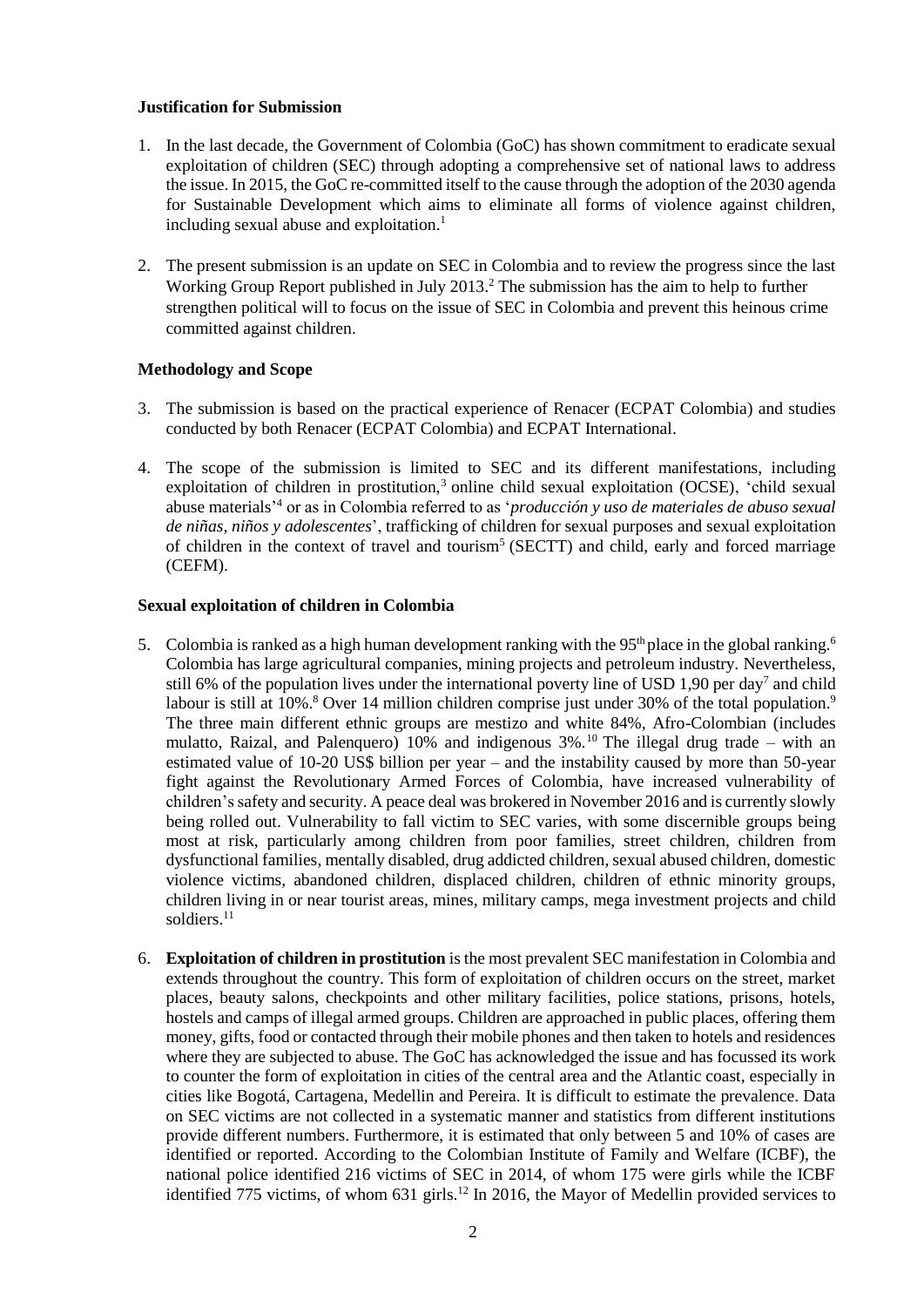### **Justification for Submission**

- 1. In the last decade, the Government of Colombia (GoC) has shown commitment to eradicate sexual exploitation of children (SEC) through adopting a comprehensive set of national laws to address the issue. In 2015, the GoC re-committed itself to the cause through the adoption of the 2030 agenda for Sustainable Development which aims to eliminate all forms of violence against children, including sexual abuse and exploitation.<sup>1</sup>
- 2. The present submission is an update on SEC in Colombia and to review the progress since the last Working Group Report published in July 2013.<sup>2</sup> The submission has the aim to help to further strengthen political will to focus on the issue of SEC in Colombia and prevent this heinous crime committed against children.

## **Methodology and Scope**

- 3. The submission is based on the practical experience of Renacer (ECPAT Colombia) and studies conducted by both Renacer (ECPAT Colombia) and ECPAT International.
- 4. The scope of the submission is limited to SEC and its different manifestations, including exploitation of children in prostitution,<sup>3</sup> online child sexual exploitation (OCSE), 'child sexual abuse materials' <sup>4</sup> or as in Colombia referred to as '*producción y uso de materiales de abuso sexual de niñas, niños y adolescentes*', trafficking of children for sexual purposes and sexual exploitation of children in the context of travel and tourism<sup>5</sup> (SECTT) and child, early and forced marriage (CEFM).

### **Sexual exploitation of children in Colombia**

- 5. Colombia is ranked as a high human development ranking with the  $95<sup>th</sup>$  place in the global ranking. Colombia has large agricultural companies, mining projects and petroleum industry. Nevertheless, still 6% of the population lives under the international poverty line of USD 1,90 per day<sup>7</sup> and child labour is still at 10%.<sup>8</sup> Over 14 million children comprise just under 30% of the total population.<sup>9</sup> The three main different ethnic groups are mestizo and white 84%, Afro-Colombian (includes mulatto, Raizal, and Palenquero)  $10\%$  and indigenous  $3\%$ .<sup>10</sup> The illegal drug trade – with an estimated value of 10-20 US\$ billion per year – and the instability caused by more than 50-year fight against the Revolutionary Armed Forces of Colombia, have increased vulnerability of children's safety and security. A peace deal was brokered in November 2016 and is currently slowly being rolled out. Vulnerability to fall victim to SEC varies, with some discernible groups being most at risk, particularly among children from poor families, street children, children from dysfunctional families, mentally disabled, drug addicted children, sexual abused children, domestic violence victims, abandoned children, displaced children, children of ethnic minority groups, children living in or near tourist areas, mines, military camps, mega investment projects and child soldiers. 11
- <span id="page-1-0"></span>6. **Exploitation of children in prostitution** is the most prevalent SEC manifestation in Colombia and extends throughout the country. This form of exploitation of children occurs on the street, market places, beauty salons, checkpoints and other military facilities, police stations, prisons, hotels, hostels and camps of illegal armed groups. Children are approached in public places, offering them money, gifts, food or contacted through their mobile phones and then taken to hotels and residences where they are subjected to abuse. The GoC has acknowledged the issue and has focussed its work to counter the form of exploitation in cities of the central area and the Atlantic coast, especially in cities like Bogotá, Cartagena, Medellin and Pereira. It is difficult to estimate the prevalence. Data on SEC victims are not collected in a systematic manner and statistics from different institutions provide different numbers. Furthermore, it is estimated that only between 5 and 10% of cases are identified or reported. According to the Colombian Institute of Family and Welfare (ICBF), the national police identified 216 victims of SEC in 2014, of whom 175 were girls while the ICBF identified 775 victims, of whom 631 girls.<sup>12</sup> In 2016, the Mayor of Medellin provided services to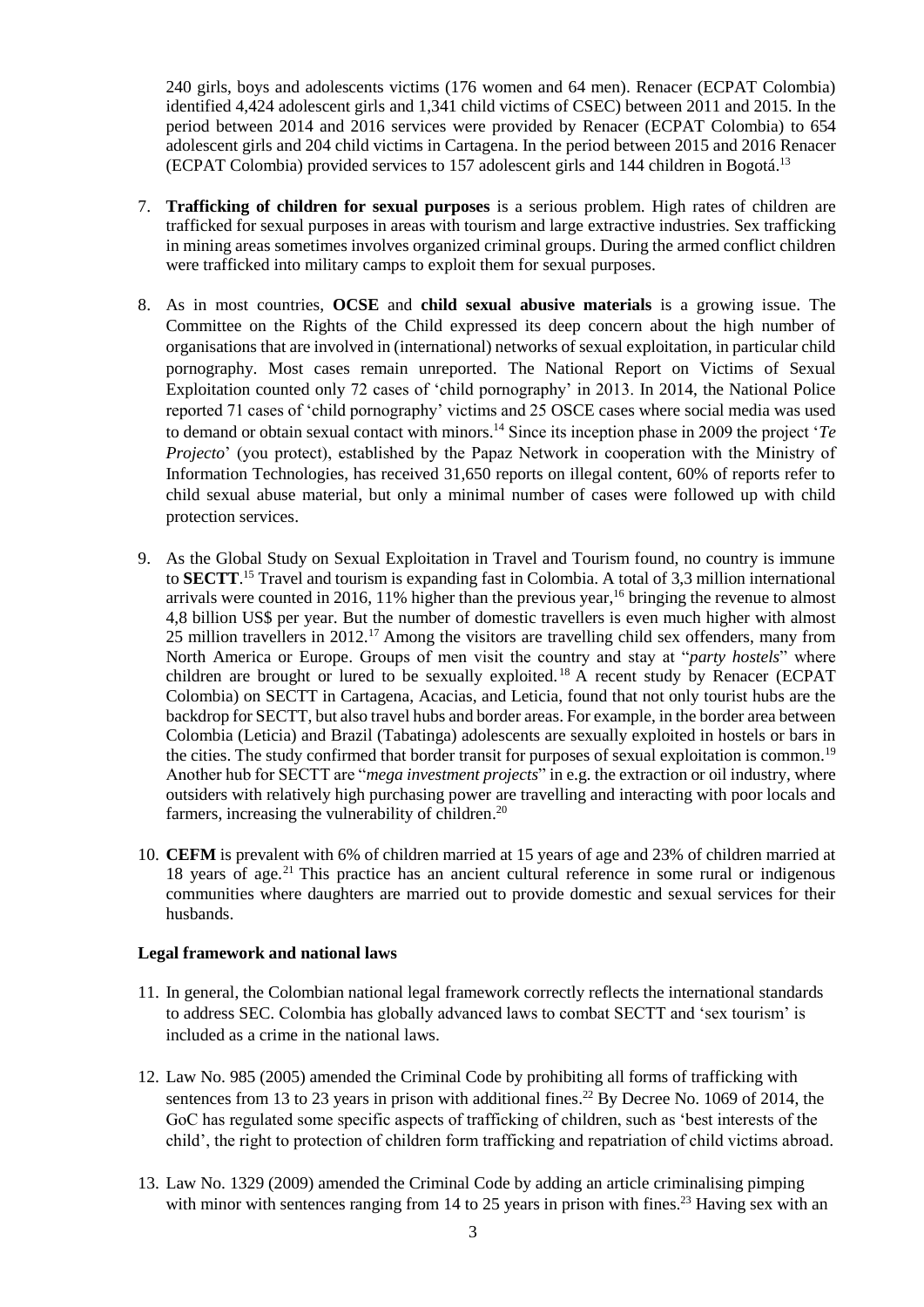240 girls, boys and adolescents victims (176 women and 64 men). Renacer (ECPAT Colombia) identified 4,424 adolescent girls and 1,341 child victims of CSEC) between 2011 and 2015. In the period between 2014 and 2016 services were provided by Renacer (ECPAT Colombia) to 654 adolescent girls and 204 child victims in Cartagena. In the period between 2015 and 2016 Renacer (ECPAT Colombia) provided services to 157 adolescent girls and 144 children in Bogotá. 13

- 7. **Trafficking of children for sexual purposes** is a serious problem. High rates of children are trafficked for sexual purposes in areas with tourism and large extractive industries. Sex trafficking in mining areas sometimes involves organized criminal groups. During the armed conflict children were trafficked into military camps to exploit them for sexual purposes.
- 8. As in most countries, **OCSE** and **child sexual abusive materials** is a growing issue. The Committee on the Rights of the Child expressed its deep concern about the high number of organisations that are involved in (international) networks of sexual exploitation, in particular child pornography. Most cases remain unreported. The National Report on Victims of Sexual Exploitation counted only 72 cases of 'child pornography' in 2013. In 2014, the National Police reported 71 cases of 'child pornography' victims and 25 OSCE cases where social media was used to demand or obtain sexual contact with minors.<sup>14</sup> Since its inception phase in 2009 the project '*Te Projecto*' (you protect), established by the Papaz Network in cooperation with the Ministry of Information Technologies, has received 31,650 reports on illegal content, 60% of reports refer to child sexual abuse material, but only a minimal number of cases were followed up with child protection services.
- <span id="page-2-1"></span>9. As the Global Study on Sexual Exploitation in Travel and Tourism found, no country is immune to **SECTT**. <sup>15</sup> Travel and tourism is expanding fast in Colombia. A total of 3,3 million international arrivals were counted in 2016, 11% higher than the previous year, <sup>16</sup> bringing the revenue to almost 4,8 billion US\$ per year. But the number of domestic travellers is even much higher with almost 25 million travellers in 2012.<sup>17</sup> Among the visitors are travelling child sex offenders, many from North America or Europe. Groups of men visit the country and stay at "*party hostels*" where children are brought or lured to be sexually exploited. <sup>18</sup> A recent study by Renacer (ECPAT Colombia) on SECTT in Cartagena, Acacias, and Leticia, found that not only tourist hubs are the backdrop for SECTT, but also travel hubs and border areas. For example, in the border area between Colombia (Leticia) and Brazil (Tabatinga) adolescents are sexually exploited in hostels or bars in the cities. The study confirmed that border transit for purposes of sexual exploitation is common.<sup>19</sup> Another hub for SECTT are "*mega investment projects*" in e.g. the extraction or oil industry, where outsiders with relatively high purchasing power are travelling and interacting with poor locals and farmers, increasing the vulnerability of children.<sup>20</sup>
- <span id="page-2-0"></span>10. **CEFM** is prevalent with 6% of children married at 15 years of age and 23% of children married at 18 years of age.<sup>21</sup> This practice has an ancient cultural reference in some rural or indigenous communities where daughters are married out to provide domestic and sexual services for their husbands.

### **Legal framework and national laws**

- 11. In general, the Colombian national legal framework correctly reflects the international standards to address SEC. Colombia has globally advanced laws to combat SECTT and 'sex tourism' is included as a crime in the national laws.
- 12. Law No. 985 (2005) amended the Criminal Code by prohibiting all forms of trafficking with sentences from 13 to 23 years in prison with additional fines.<sup>22</sup> By Decree No. 1069 of 2014, the GoC has regulated some specific aspects of trafficking of children, such as 'best interests of the child', the right to protection of children form trafficking and repatriation of child victims abroad.
- 13. Law No. 1329 (2009) amended the Criminal Code by adding an article criminalising pimping with minor with sentences ranging from 14 to 25 years in prison with fines.<sup>23</sup> Having sex with an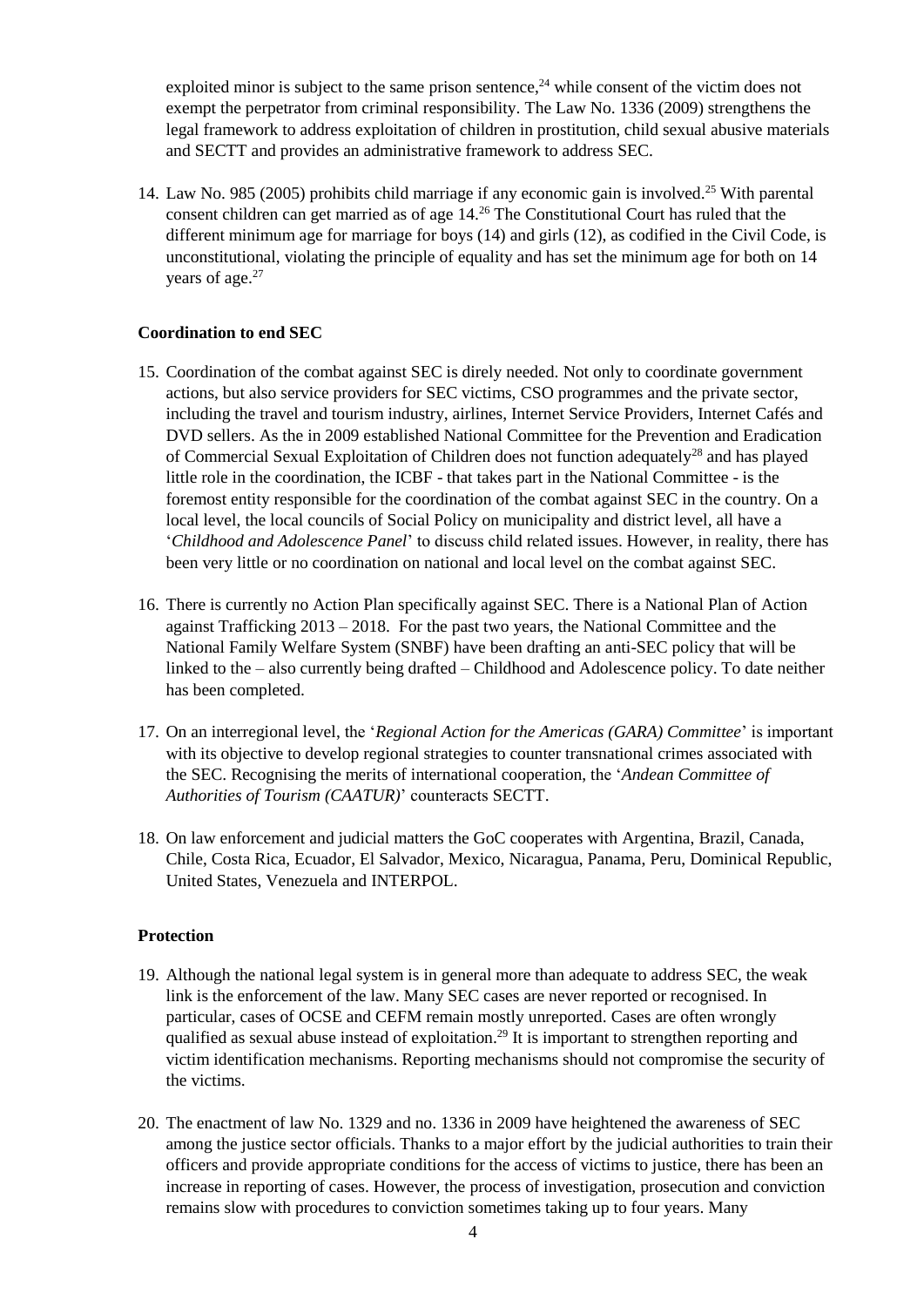exploited minor is subject to the same prison sentence,<sup>24</sup> while consent of the victim does not exempt the perpetrator from criminal responsibility. The Law No. 1336 (2009) strengthens the legal framework to address exploitation of children in prostitution, child sexual abusive materials and SECTT and provides an administrative framework to address SEC.

<span id="page-3-0"></span>14. Law No. 985 (2005) prohibits child marriage if any economic gain is involved.<sup>25</sup> With parental consent children can get married as of age 14.<sup>26</sup> The Constitutional Court has ruled that the different minimum age for marriage for boys (14) and girls (12), as codified in the Civil Code, is unconstitutional, violating the principle of equality and has set the minimum age for both on 14 years of age.<sup>27</sup>

## **Coordination to end SEC**

- 15. Coordination of the combat against SEC is direly needed. Not only to coordinate government actions, but also service providers for SEC victims, CSO programmes and the private sector, including the travel and tourism industry, airlines, Internet Service Providers, Internet Cafés and DVD sellers. As the in 2009 established National Committee for the Prevention and Eradication of Commercial Sexual Exploitation of Children does not function adequately<sup>28</sup> and has played little role in the coordination, the ICBF - that takes part in the National Committee - is the foremost entity responsible for the coordination of the combat against SEC in the country. On a local level, the local councils of Social Policy on municipality and district level, all have a '*Childhood and Adolescence Panel*' to discuss child related issues. However, in reality, there has been very little or no coordination on national and local level on the combat against SEC.
- <span id="page-3-1"></span>16. There is currently no Action Plan specifically against SEC. There is a National Plan of Action against Trafficking  $2013 - 2018$ . For the past two years, the National Committee and the National Family Welfare System (SNBF) have been drafting an anti-SEC policy that will be linked to the – also currently being drafted – Childhood and Adolescence policy. To date neither has been completed.
- 17. On an interregional level, the '*Regional Action for the Americas (GARA) Committee*' is important with its objective to develop regional strategies to counter transnational crimes associated with the SEC. Recognising the merits of international cooperation, the '*Andean Committee of Authorities of Tourism (CAATUR)*' counteracts SECTT.
- 18. On law enforcement and judicial matters the GoC cooperates with Argentina, Brazil, Canada, Chile, Costa Rica, Ecuador, El Salvador, Mexico, Nicaragua, Panama, Peru, Dominical Republic, United States, Venezuela and INTERPOL.

### **Protection**

- 19. Although the national legal system is in general more than adequate to address SEC, the weak link is the enforcement of the law. Many SEC cases are never reported or recognised. In particular, cases of OCSE and CEFM remain mostly unreported. Cases are often wrongly qualified as sexual abuse instead of exploitation.<sup>29</sup> It is important to strengthen reporting and victim identification mechanisms. Reporting mechanisms should not compromise the security of the victims.
- 20. The enactment of law No. 1329 and no. 1336 in 2009 have heightened the awareness of SEC among the justice sector officials. Thanks to a major effort by the judicial authorities to train their officers and provide appropriate conditions for the access of victims to justice, there has been an increase in reporting of cases. However, the process of investigation, prosecution and conviction remains slow with procedures to conviction sometimes taking up to four years. Many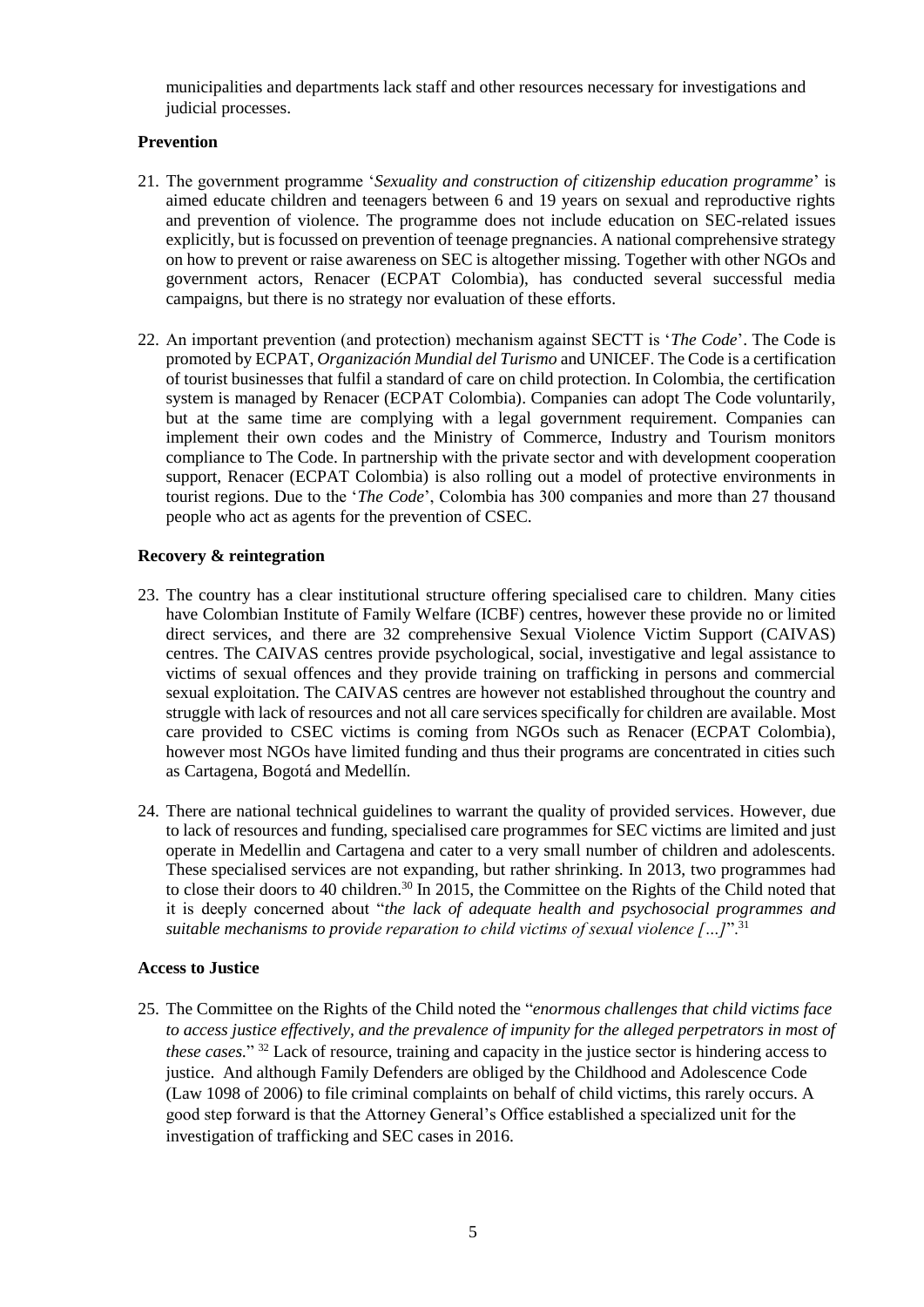municipalities and departments lack staff and other resources necessary for investigations and judicial processes.

## **Prevention**

- <span id="page-4-0"></span>21. The government programme '*Sexuality and construction of citizenship education programme*' is aimed educate children and teenagers between 6 and 19 years on sexual and reproductive rights and prevention of violence. The programme does not include education on SEC-related issues explicitly, but is focussed on prevention of teenage pregnancies. A national comprehensive strategy on how to prevent or raise awareness on SEC is altogether missing. Together with other NGOs and government actors, Renacer (ECPAT Colombia), has conducted several successful media campaigns, but there is no strategy nor evaluation of these efforts.
- 22. An important prevention (and protection) mechanism against SECTT is '*The Code*'. The Code is promoted by ECPAT, *Organización Mundial del Turismo* and UNICEF. The Code is a certification of tourist businesses that fulfil a standard of care on child protection. In Colombia, the certification system is managed by Renacer (ECPAT Colombia). Companies can adopt The Code voluntarily, but at the same time are complying with a legal government requirement. Companies can implement their own codes and the Ministry of Commerce, Industry and Tourism monitors compliance to The Code. In partnership with the private sector and with development cooperation support, Renacer (ECPAT Colombia) is also rolling out a model of protective environments in tourist regions. Due to the '*The Code*', Colombia has 300 companies and more than 27 thousand people who act as agents for the prevention of CSEC.

## **Recovery & reintegration**

- <span id="page-4-1"></span>23. The country has a clear institutional structure offering specialised care to children. Many cities have Colombian Institute of Family Welfare (ICBF) centres, however these provide no or limited direct services, and there are 32 comprehensive Sexual Violence Victim Support (CAIVAS) centres. The CAIVAS centres provide psychological, social, investigative and legal assistance to victims of sexual offences and they provide training on trafficking in persons and commercial sexual exploitation. The CAIVAS centres are however not established throughout the country and struggle with lack of resources and not all care services specifically for children are available. Most care provided to CSEC victims is coming from NGOs such as Renacer (ECPAT Colombia), however most NGOs have limited funding and thus their programs are concentrated in cities such as Cartagena, Bogotá and Medellín.
- <span id="page-4-2"></span>24. There are national technical guidelines to warrant the quality of provided services. However, due to lack of resources and funding, specialised care programmes for SEC victims are limited and just operate in Medellin and Cartagena and cater to a very small number of children and adolescents. These specialised services are not expanding, but rather shrinking. In 2013, two programmes had to close their doors to 40 children.<sup>30</sup> In 2015, the Committee on the Rights of the Child noted that it is deeply concerned about "*the lack of adequate health and psychosocial programmes and suitable mechanisms to provide reparation to child victims of sexual violence […]*".<sup>31</sup>

### **Access to Justice**

<span id="page-4-3"></span>25. The Committee on the Rights of the Child noted the "*enormous challenges that child victims face to access justice effectively, and the prevalence of impunity for the alleged perpetrators in most of these cases.*" <sup>32</sup> Lack of resource, training and capacity in the justice sector is hindering access to justice. And although Family Defenders are obliged by the Childhood and Adolescence Code (Law 1098 of 2006) to file criminal complaints on behalf of child victims, this rarely occurs. A good step forward is that the Attorney General's Office established a specialized unit for the investigation of trafficking and SEC cases in 2016.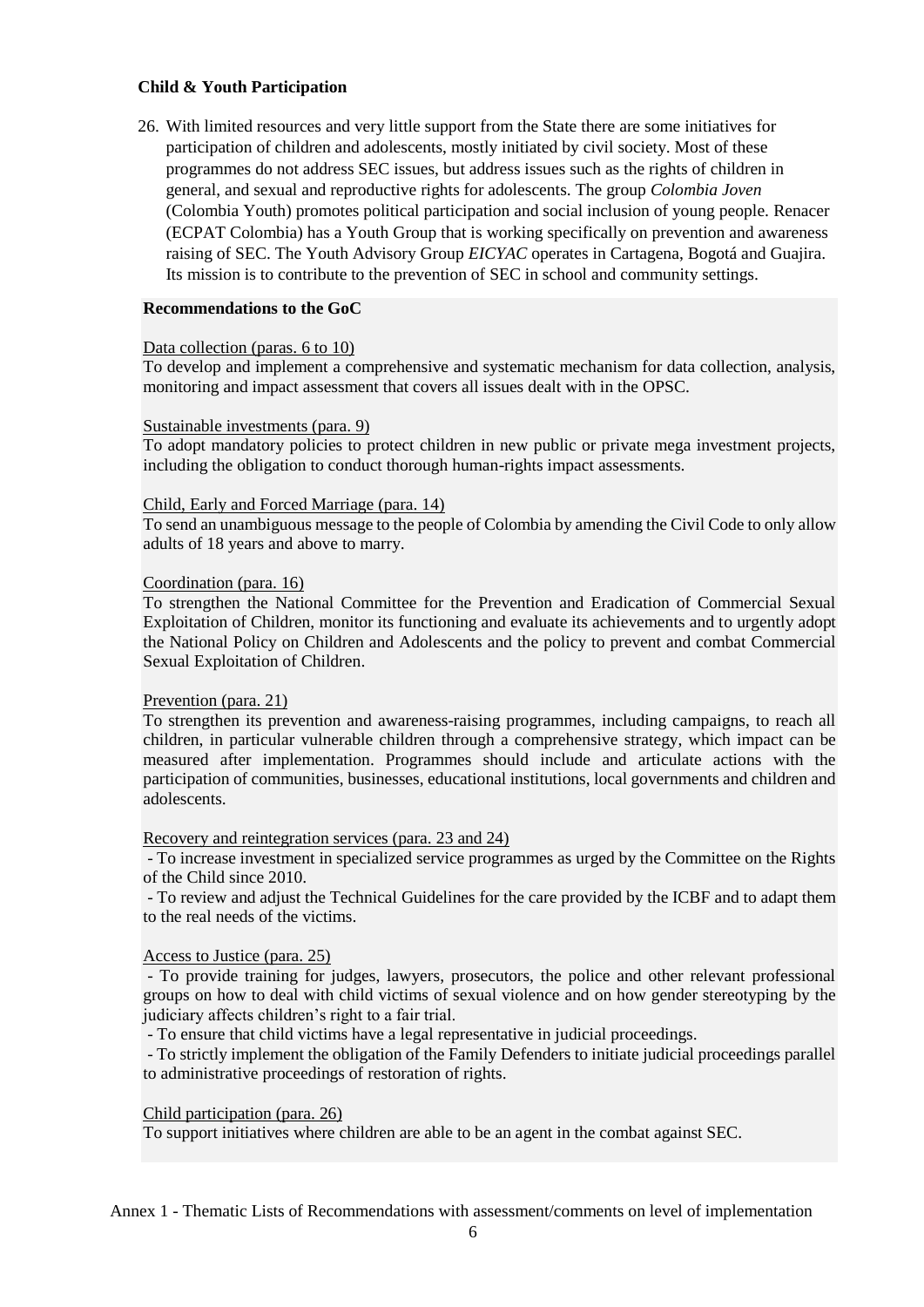### **Child & Youth Participation**

<span id="page-5-0"></span>26. With limited resources and very little support from the State there are some initiatives for participation of children and adolescents, mostly initiated by civil society. Most of these programmes do not address SEC issues, but address issues such as the rights of children in general, and sexual and reproductive rights for adolescents. The group *Colombia Joven* (Colombia Youth) promotes political participation and social inclusion of young people. Renacer (ECPAT Colombia) has a Youth Group that is working specifically on prevention and awareness raising of SEC. The Youth Advisory Group *EICYAC* operates in Cartagena, Bogotá and Guajira. Its mission is to contribute to the prevention of SEC in school and community settings.

#### **Recommendations to the GoC**

#### Data collection (paras. [6](#page-1-0) to [10\)](#page-2-0)

To develop and implement a comprehensive and systematic mechanism for data collection, analysis, monitoring and impact assessment that covers all issues dealt with in the OPSC.

#### Sustainable investments (para. [9\)](#page-2-1)

To adopt mandatory policies to protect children in new public or private mega investment projects, including the obligation to conduct thorough human-rights impact assessments.

#### Child, Early and Forced Marriage (para. [14\)](#page-3-0)

To send an unambiguous message to the people of Colombia by amending the Civil Code to only allow adults of 18 years and above to marry.

#### Coordination (para. [16\)](#page-3-1)

To strengthen the National Committee for the Prevention and Eradication of Commercial Sexual Exploitation of Children, monitor its functioning and evaluate its achievements and to urgently adopt the National Policy on Children and Adolescents and the policy to prevent and combat Commercial Sexual Exploitation of Children.

### Prevention (para[. 21\)](#page-4-0)

To strengthen its prevention and awareness-raising programmes, including campaigns, to reach all children, in particular vulnerable children through a comprehensive strategy, which impact can be measured after implementation. Programmes should include and articulate actions with the participation of communities, businesses, educational institutions, local governments and children and adolescents.

### Recovery and reintegration services (para. [23](#page-4-1) and [24\)](#page-4-2)

- To increase investment in specialized service programmes as urged by the Committee on the Rights of the Child since 2010.

- To review and adjust the Technical Guidelines for the care provided by the ICBF and to adapt them to the real needs of the victims.

### Access to Justice (para. [25\)](#page-4-3)

- To provide training for judges, lawyers, prosecutors, the police and other relevant professional groups on how to deal with child victims of sexual violence and on how gender stereotyping by the judiciary affects children's right to a fair trial.

- To ensure that child victims have a legal representative in judicial proceedings.

- To strictly implement the obligation of the Family Defenders to initiate judicial proceedings parallel to administrative proceedings of restoration of rights.

### Child participation (para. [26\)](#page-5-0)

To support initiatives where children are able to be an agent in the combat against SEC.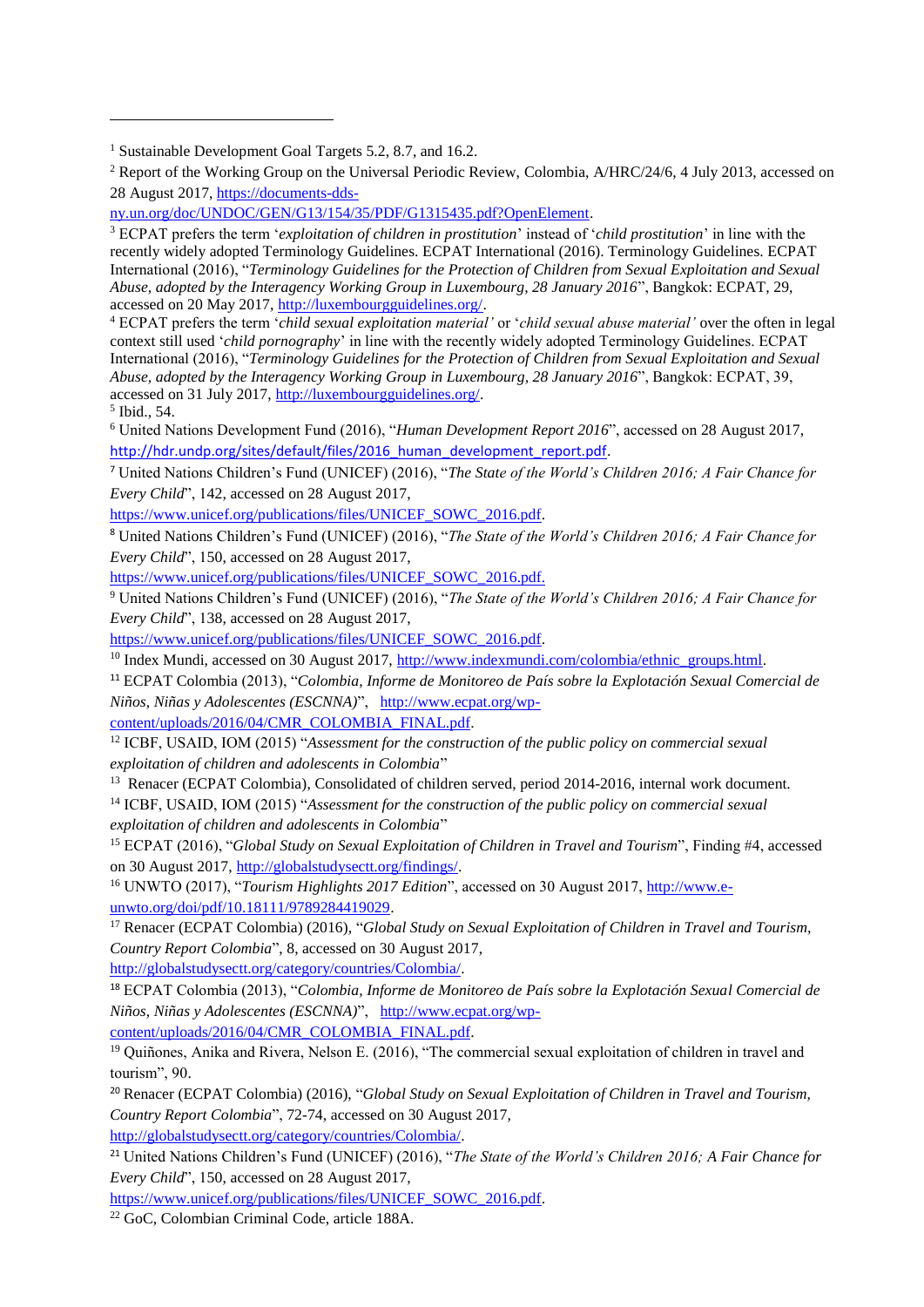<sup>4</sup> ECPAT prefers the term '*child sexual exploitation material'* or '*child sexual abuse material'* over the often in legal context still used '*child pornography*' in line with the recently widely adopted Terminology Guidelines. ECPAT International (2016), "*Terminology Guidelines for the Protection of Children from Sexual Exploitation and Sexual Abuse, adopted by the Interagency Working Group in Luxembourg, 28 January 2016*", Bangkok: ECPAT, 39, accessed on 31 July 2017[, http://luxembourgguidelines.org/.](http://luxembourgguidelines.org/)

5 Ibid., 54.

j

<sup>6</sup> United Nations Development Fund (2016), "*Human Development Report 2016*", accessed on 28 August 2017, http://hdr.undp.org/sites/default/files/2016 human\_development\_report.pdf.

<sup>7</sup> United Nations Children's Fund (UNICEF) (2016), "*The State of the World's Children 2016; A Fair Chance for Every Child*", 142, accessed on 28 August 2017,

[https://www.unicef.org/publications/files/UNICEF\\_SOWC\\_2016.pdf.](https://www.unicef.org/publications/files/UNICEF_SOWC_2016.pdf)

<sup>8</sup> United Nations Children's Fund (UNICEF) (2016), "*The State of the World's Children 2016; A Fair Chance for Every Child*", 150, accessed on 28 August 2017,

[https://www.unicef.org/publications/files/UNICEF\\_SOWC\\_2016.pdf.](https://www.unicef.org/publications/files/UNICEF_SOWC_2016.pdf)

<sup>9</sup> United Nations Children's Fund (UNICEF) (2016), "*The State of the World's Children 2016; A Fair Chance for Every Child*", 138, accessed on 28 August 2017,

[https://www.unicef.org/publications/files/UNICEF\\_SOWC\\_2016.pdf.](https://www.unicef.org/publications/files/UNICEF_SOWC_2016.pdf)

<sup>10</sup> Index Mundi, accessed on 30 August 2017[, http://www.indexmundi.com/colombia/ethnic\\_groups.html.](http://www.indexmundi.com/colombia/ethnic_groups.html)

<sup>11</sup> ECPAT Colombia (2013), "*Colombia, Informe de Monitoreo de País sobre la Explotación Sexual Comercial de Niños, Niñas y Adolescentes (ESCNNA)*", [http://www.ecpat.org/wp-](http://www.ecpat.org/wp-content/uploads/2016/04/CMR_COLOMBIA_FINAL.pdf)

[content/uploads/2016/04/CMR\\_COLOMBIA\\_FINAL.pdf.](http://www.ecpat.org/wp-content/uploads/2016/04/CMR_COLOMBIA_FINAL.pdf)

<sup>12</sup> ICBF, USAID, IOM (2015) "*Assessment for the construction of the public policy on commercial sexual exploitation of children and adolescents in Colombia*"

<sup>13</sup> Renacer (ECPAT Colombia), Consolidated of children served, period 2014-2016, internal work document.

<sup>14</sup> ICBF, USAID, IOM (2015) "*Assessment for the construction of the public policy on commercial sexual exploitation of children and adolescents in Colombia*"

<sup>15</sup> ECPAT (2016), "*Global Study on Sexual Exploitation of Children in Travel and Tourism*", Finding #4, accessed on 30 August 2017, [http://globalstudysectt.org/findings/.](http://globalstudysectt.org/findings/) 

<sup>16</sup> UNWTO (2017), "*Tourism Highlights 2017 Edition*", accessed on 30 August 2017[, http://www.e](http://www.e-unwto.org/doi/pdf/10.18111/9789284419029)[unwto.org/doi/pdf/10.18111/9789284419029.](http://www.e-unwto.org/doi/pdf/10.18111/9789284419029)

<sup>17</sup> Renacer (ECPAT Colombia) (2016), "*Global Study on Sexual Exploitation of Children in Travel and Tourism, Country Report Colombia*", 8, accessed on 30 August 2017,

[http://globalstudysectt.org/category/countries/Colombia/.](http://globalstudysectt.org/category/countries/Colombia/) 

<sup>18</sup> ECPAT Colombia (2013), "*Colombia, Informe de Monitoreo de País sobre la Explotación Sexual Comercial de Niños, Niñas y Adolescentes (ESCNNA)*", [http://www.ecpat.org/wp-](http://www.ecpat.org/wp-content/uploads/2016/04/CMR_COLOMBIA_FINAL.pdf)

[content/uploads/2016/04/CMR\\_COLOMBIA\\_FINAL.pdf.](http://www.ecpat.org/wp-content/uploads/2016/04/CMR_COLOMBIA_FINAL.pdf)

<sup>19</sup> Quiñones, Anika and Rivera, Nelson E. (2016), "The commercial sexual exploitation of children in travel and tourism", 90.

<sup>20</sup> Renacer (ECPAT Colombia) (2016), "*Global Study on Sexual Exploitation of Children in Travel and Tourism, Country Report Colombia*", 72-74, accessed on 30 August 2017,

[http://globalstudysectt.org/category/countries/Colombia/.](http://globalstudysectt.org/category/countries/Colombia/)

<sup>21</sup> United Nations Children's Fund (UNICEF) (2016), "*The State of the World's Children 2016; A Fair Chance for Every Child*", 150, accessed on 28 August 2017,

[https://www.unicef.org/publications/files/UNICEF\\_SOWC\\_2016.pdf.](https://www.unicef.org/publications/files/UNICEF_SOWC_2016.pdf)

<sup>22</sup> GoC, Colombian Criminal Code, article 188A.

<sup>&</sup>lt;sup>1</sup> Sustainable Development Goal Targets 5.2, 8.7, and 16.2.

<sup>&</sup>lt;sup>2</sup> Report of the Working Group on the Universal Periodic Review, Colombia, A/HRC/24/6, 4 July 2013, accessed on 28 August 2017, [https://documents-dds-](https://documents-dds-ny.un.org/doc/UNDOC/GEN/G13/154/35/PDF/G1315435.pdf?OpenElement)

[ny.un.org/doc/UNDOC/GEN/G13/154/35/PDF/G1315435.pdf?OpenElement.](https://documents-dds-ny.un.org/doc/UNDOC/GEN/G13/154/35/PDF/G1315435.pdf?OpenElement)

<sup>3</sup> ECPAT prefers the term '*exploitation of children in prostitution*' instead of '*child prostitution*' in line with the recently widely adopted Terminology Guidelines. ECPAT International (2016). Terminology Guidelines. ECPAT International (2016), "*Terminology Guidelines for the Protection of Children from Sexual Exploitation and Sexual Abuse, adopted by the Interagency Working Group in Luxembourg, 28 January 2016*", Bangkok: ECPAT, 29, accessed on 20 May 2017, [http://luxembourgguidelines.org/.](http://luxembourgguidelines.org/)